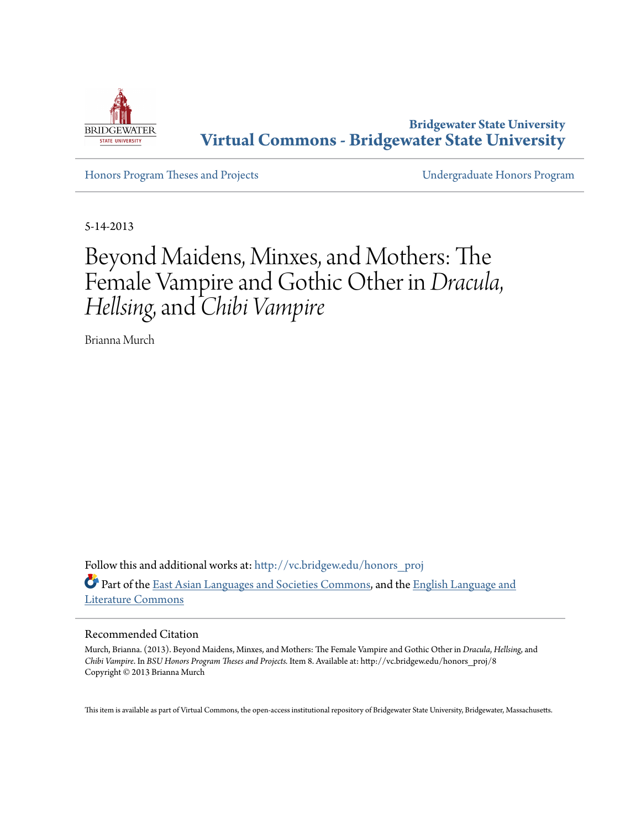

**Bridgewater State University [Virtual Commons - Bridgewater State University](http://vc.bridgew.edu?utm_source=vc.bridgew.edu%2Fhonors_proj%2F8&utm_medium=PDF&utm_campaign=PDFCoverPages)**

[Honors Program Theses and Projects](http://vc.bridgew.edu/honors_proj?utm_source=vc.bridgew.edu%2Fhonors_proj%2F8&utm_medium=PDF&utm_campaign=PDFCoverPages) [Undergraduate Honors Program](http://vc.bridgew.edu/honors?utm_source=vc.bridgew.edu%2Fhonors_proj%2F8&utm_medium=PDF&utm_campaign=PDFCoverPages)

5-14-2013

# Beyond Maidens, Minxes, and Mothers: The Female Vampire and Gothic Other in *Dracula*, *Hellsing*, and *Chibi Vampire*

Brianna Murch

Follow this and additional works at: [http://vc.bridgew.edu/honors\\_proj](http://vc.bridgew.edu/honors_proj?utm_source=vc.bridgew.edu%2Fhonors_proj%2F8&utm_medium=PDF&utm_campaign=PDFCoverPages) Part of the [East Asian Languages and Societies Commons,](http://network.bepress.com/hgg/discipline/481?utm_source=vc.bridgew.edu%2Fhonors_proj%2F8&utm_medium=PDF&utm_campaign=PDFCoverPages) and the [English Language and](http://network.bepress.com/hgg/discipline/455?utm_source=vc.bridgew.edu%2Fhonors_proj%2F8&utm_medium=PDF&utm_campaign=PDFCoverPages) [Literature Commons](http://network.bepress.com/hgg/discipline/455?utm_source=vc.bridgew.edu%2Fhonors_proj%2F8&utm_medium=PDF&utm_campaign=PDFCoverPages)

#### Recommended Citation

Murch, Brianna. (2013). Beyond Maidens, Minxes, and Mothers: The Female Vampire and Gothic Other in *Dracula*, *Hellsing*, and *Chibi Vampire*. In *BSU Honors Program Theses and Projects.* Item 8. Available at: http://vc.bridgew.edu/honors\_proj/8 Copyright © 2013 Brianna Murch

This item is available as part of Virtual Commons, the open-access institutional repository of Bridgewater State University, Bridgewater, Massachusetts.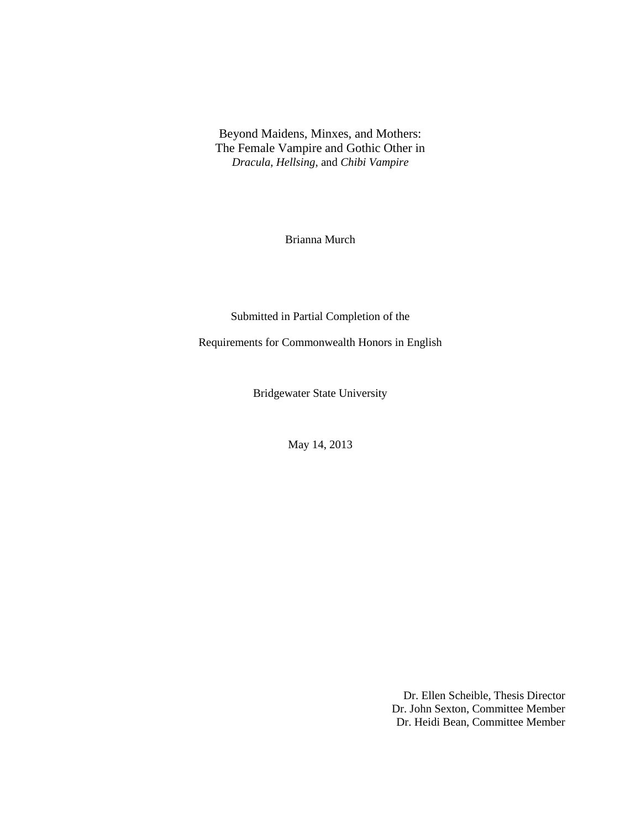Beyond Maidens, Minxes, and Mothers: The Female Vampire and Gothic Other in *Dracula*, *Hellsing*, and *Chibi Vampire*

Brianna Murch

Submitted in Partial Completion of the

Requirements for Commonwealth Honors in English

Bridgewater State University

May 14, 2013

Dr. Ellen Scheible, Thesis Director Dr. John Sexton, Committee Member Dr. Heidi Bean, Committee Member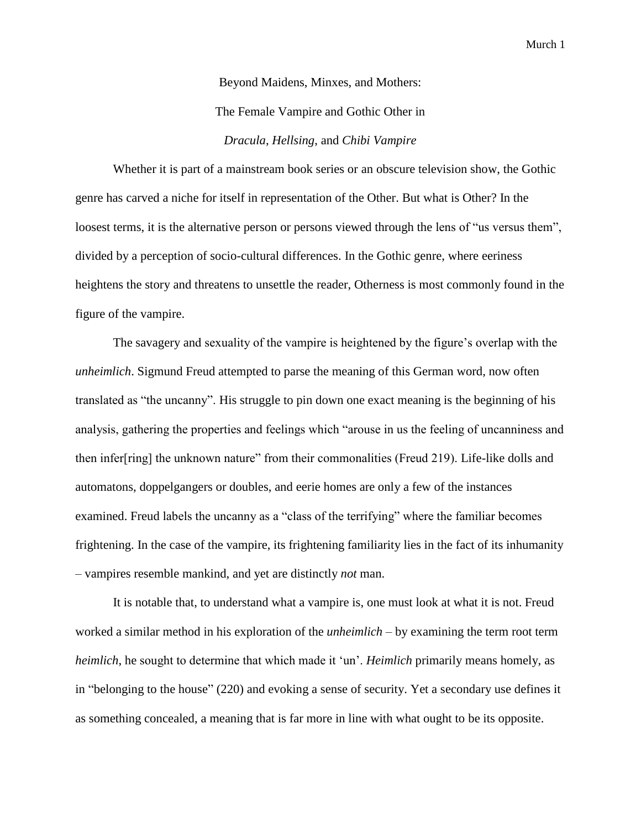Beyond Maidens, Minxes, and Mothers: The Female Vampire and Gothic Other in *Dracula*, *Hellsing*, and *Chibi Vampire*

Whether it is part of a mainstream book series or an obscure television show, the Gothic genre has carved a niche for itself in representation of the Other. But what is Other? In the loosest terms, it is the alternative person or persons viewed through the lens of "us versus them", divided by a perception of socio-cultural differences. In the Gothic genre, where eeriness heightens the story and threatens to unsettle the reader, Otherness is most commonly found in the figure of the vampire.

The savagery and sexuality of the vampire is heightened by the figure's overlap with the *unheimlich*. Sigmund Freud attempted to parse the meaning of this German word, now often translated as "the uncanny". His struggle to pin down one exact meaning is the beginning of his analysis, gathering the properties and feelings which "arouse in us the feeling of uncanniness and then infer[ring] the unknown nature" from their commonalities (Freud 219). Life-like dolls and automatons, doppelgangers or doubles, and eerie homes are only a few of the instances examined. Freud labels the uncanny as a "class of the terrifying" where the familiar becomes frightening. In the case of the vampire, its frightening familiarity lies in the fact of its inhumanity – vampires resemble mankind, and yet are distinctly *not* man.

It is notable that, to understand what a vampire is, one must look at what it is not. Freud worked a similar method in his exploration of the *unheimlich* – by examining the term root term *heimlich*, he sought to determine that which made it 'un'. *Heimlich* primarily means homely, as in "belonging to the house" (220) and evoking a sense of security. Yet a secondary use defines it as something concealed, a meaning that is far more in line with what ought to be its opposite.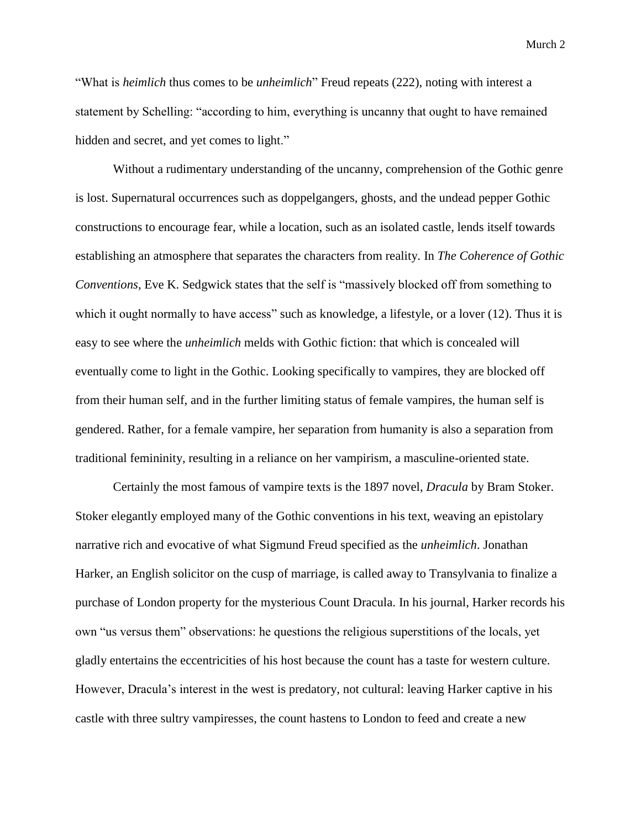"What is *heimlich* thus comes to be *unheimlich*" Freud repeats (222), noting with interest a statement by Schelling: "according to him, everything is uncanny that ought to have remained hidden and secret, and yet comes to light."

Without a rudimentary understanding of the uncanny, comprehension of the Gothic genre is lost. Supernatural occurrences such as doppelgangers, ghosts, and the undead pepper Gothic constructions to encourage fear, while a location, such as an isolated castle, lends itself towards establishing an atmosphere that separates the characters from reality. In *The Coherence of Gothic Conventions*, Eve K. Sedgwick states that the self is "massively blocked off from something to which it ought normally to have access" such as knowledge, a lifestyle, or a lover (12). Thus it is easy to see where the *unheimlich* melds with Gothic fiction: that which is concealed will eventually come to light in the Gothic. Looking specifically to vampires, they are blocked off from their human self, and in the further limiting status of female vampires, the human self is gendered. Rather, for a female vampire, her separation from humanity is also a separation from traditional femininity, resulting in a reliance on her vampirism, a masculine-oriented state.

Certainly the most famous of vampire texts is the 1897 novel, *Dracula* by Bram Stoker. Stoker elegantly employed many of the Gothic conventions in his text, weaving an epistolary narrative rich and evocative of what Sigmund Freud specified as the *unheimlich*. Jonathan Harker, an English solicitor on the cusp of marriage, is called away to Transylvania to finalize a purchase of London property for the mysterious Count Dracula. In his journal, Harker records his own "us versus them" observations: he questions the religious superstitions of the locals, yet gladly entertains the eccentricities of his host because the count has a taste for western culture. However, Dracula's interest in the west is predatory, not cultural: leaving Harker captive in his castle with three sultry vampiresses, the count hastens to London to feed and create a new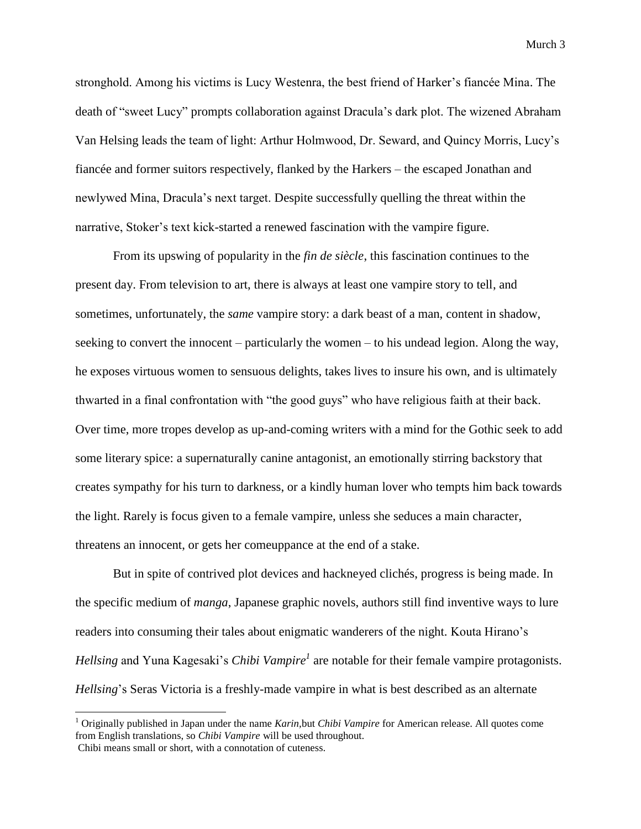stronghold. Among his victims is Lucy Westenra, the best friend of Harker's fiancée Mina. The death of "sweet Lucy" prompts collaboration against Dracula's dark plot. The wizened Abraham Van Helsing leads the team of light: Arthur Holmwood, Dr. Seward, and Quincy Morris, Lucy's fiancée and former suitors respectively, flanked by the Harkers – the escaped Jonathan and newlywed Mina, Dracula's next target. Despite successfully quelling the threat within the narrative, Stoker's text kick-started a renewed fascination with the vampire figure.

From its upswing of popularity in the *fin de siècle*, this fascination continues to the present day. From television to art, there is always at least one vampire story to tell, and sometimes, unfortunately, the *same* vampire story: a dark beast of a man, content in shadow, seeking to convert the innocent – particularly the women – to his undead legion. Along the way, he exposes virtuous women to sensuous delights, takes lives to insure his own, and is ultimately thwarted in a final confrontation with "the good guys" who have religious faith at their back. Over time, more tropes develop as up-and-coming writers with a mind for the Gothic seek to add some literary spice: a supernaturally canine antagonist, an emotionally stirring backstory that creates sympathy for his turn to darkness, or a kindly human lover who tempts him back towards the light. Rarely is focus given to a female vampire, unless she seduces a main character, threatens an innocent, or gets her comeuppance at the end of a stake.

But in spite of contrived plot devices and hackneyed clichés, progress is being made. In the specific medium of *manga*, Japanese graphic novels, authors still find inventive ways to lure readers into consuming their tales about enigmatic wanderers of the night. Kouta Hirano's *Hellsing* and Yuna Kagesaki's *Chibi Vampire<sup>1</sup>* are notable for their female vampire protagonists. *Hellsing*'s Seras Victoria is a freshly-made vampire in what is best described as an alternate

l

<sup>1</sup> Originally published in Japan under the name *Karin,*but *Chibi Vampire* for American release. All quotes come from English translations, so *Chibi Vampire* will be used throughout. Chibi means small or short, with a connotation of cuteness.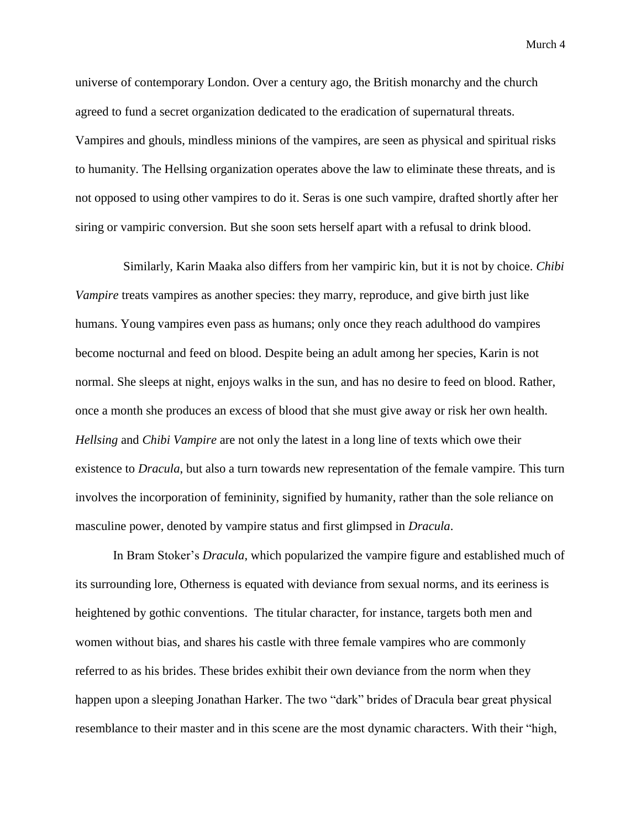universe of contemporary London. Over a century ago, the British monarchy and the church agreed to fund a secret organization dedicated to the eradication of supernatural threats. Vampires and ghouls, mindless minions of the vampires, are seen as physical and spiritual risks to humanity. The Hellsing organization operates above the law to eliminate these threats, and is not opposed to using other vampires to do it. Seras is one such vampire, drafted shortly after her siring or vampiric conversion. But she soon sets herself apart with a refusal to drink blood.

Similarly, Karin Maaka also differs from her vampiric kin, but it is not by choice. *Chibi Vampire* treats vampires as another species: they marry, reproduce, and give birth just like humans. Young vampires even pass as humans; only once they reach adulthood do vampires become nocturnal and feed on blood. Despite being an adult among her species, Karin is not normal. She sleeps at night, enjoys walks in the sun, and has no desire to feed on blood. Rather, once a month she produces an excess of blood that she must give away or risk her own health. *Hellsing* and *Chibi Vampire* are not only the latest in a long line of texts which owe their existence to *Dracula*, but also a turn towards new representation of the female vampire. This turn involves the incorporation of femininity, signified by humanity, rather than the sole reliance on masculine power, denoted by vampire status and first glimpsed in *Dracula*.

 In Bram Stoker's *Dracula*, which popularized the vampire figure and established much of its surrounding lore, Otherness is equated with deviance from sexual norms, and its eeriness is heightened by gothic conventions. The titular character, for instance, targets both men and women without bias, and shares his castle with three female vampires who are commonly referred to as his brides. These brides exhibit their own deviance from the norm when they happen upon a sleeping Jonathan Harker. The two "dark" brides of Dracula bear great physical resemblance to their master and in this scene are the most dynamic characters. With their "high,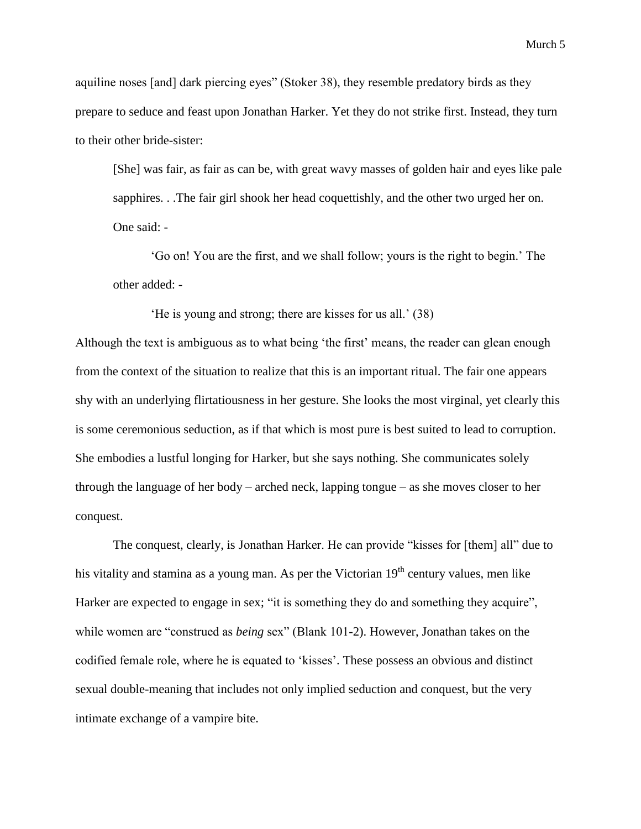aquiline noses [and] dark piercing eyes" (Stoker 38), they resemble predatory birds as they prepare to seduce and feast upon Jonathan Harker. Yet they do not strike first. Instead, they turn to their other bride-sister:

[She] was fair, as fair as can be, with great wavy masses of golden hair and eyes like pale sapphires. . .The fair girl shook her head coquettishly, and the other two urged her on. One said: -

'Go on! You are the first, and we shall follow; yours is the right to begin.' The other added: -

'He is young and strong; there are kisses for us all.' (38)

Although the text is ambiguous as to what being 'the first' means, the reader can glean enough from the context of the situation to realize that this is an important ritual. The fair one appears shy with an underlying flirtatiousness in her gesture. She looks the most virginal, yet clearly this is some ceremonious seduction, as if that which is most pure is best suited to lead to corruption. She embodies a lustful longing for Harker, but she says nothing. She communicates solely through the language of her body – arched neck, lapping tongue – as she moves closer to her conquest.

The conquest, clearly, is Jonathan Harker. He can provide "kisses for [them] all" due to his vitality and stamina as a young man. As per the Victorian  $19<sup>th</sup>$  century values, men like Harker are expected to engage in sex; "it is something they do and something they acquire", while women are "construed as *being* sex" (Blank 101-2). However, Jonathan takes on the codified female role, where he is equated to 'kisses'. These possess an obvious and distinct sexual double-meaning that includes not only implied seduction and conquest, but the very intimate exchange of a vampire bite.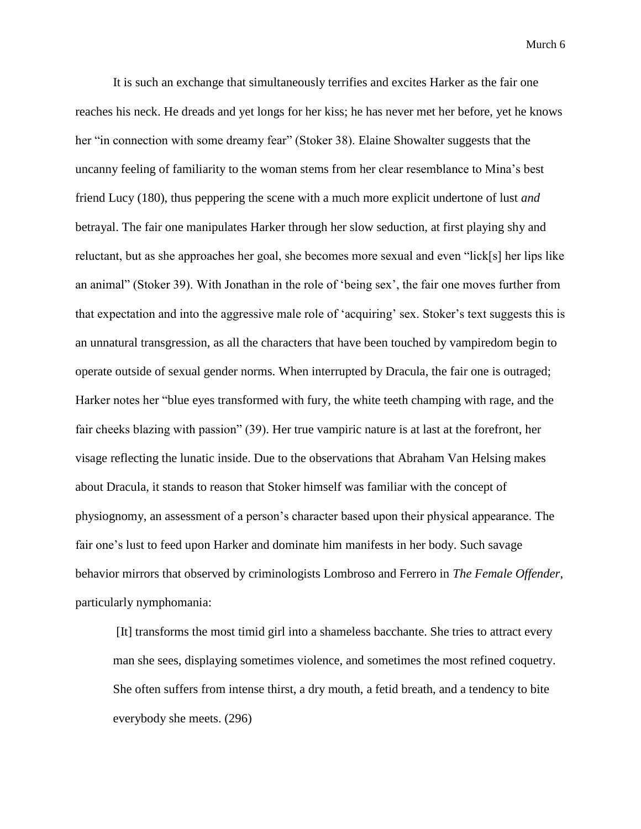It is such an exchange that simultaneously terrifies and excites Harker as the fair one reaches his neck. He dreads and yet longs for her kiss; he has never met her before, yet he knows her "in connection with some dreamy fear" (Stoker 38). Elaine Showalter suggests that the uncanny feeling of familiarity to the woman stems from her clear resemblance to Mina's best friend Lucy (180), thus peppering the scene with a much more explicit undertone of lust *and* betrayal. The fair one manipulates Harker through her slow seduction, at first playing shy and reluctant, but as she approaches her goal, she becomes more sexual and even "lick[s] her lips like an animal" (Stoker 39). With Jonathan in the role of 'being sex', the fair one moves further from that expectation and into the aggressive male role of 'acquiring' sex. Stoker's text suggests this is an unnatural transgression, as all the characters that have been touched by vampiredom begin to operate outside of sexual gender norms. When interrupted by Dracula, the fair one is outraged; Harker notes her "blue eyes transformed with fury, the white teeth champing with rage, and the fair cheeks blazing with passion" (39). Her true vampiric nature is at last at the forefront, her visage reflecting the lunatic inside. Due to the observations that Abraham Van Helsing makes about Dracula, it stands to reason that Stoker himself was familiar with the concept of physiognomy, an assessment of a person's character based upon their physical appearance. The fair one's lust to feed upon Harker and dominate him manifests in her body. Such savage behavior mirrors that observed by criminologists Lombroso and Ferrero in *The Female Offender*, particularly nymphomania:

[It] transforms the most timid girl into a shameless bacchante. She tries to attract every man she sees, displaying sometimes violence, and sometimes the most refined coquetry. She often suffers from intense thirst, a dry mouth, a fetid breath, and a tendency to bite everybody she meets. (296)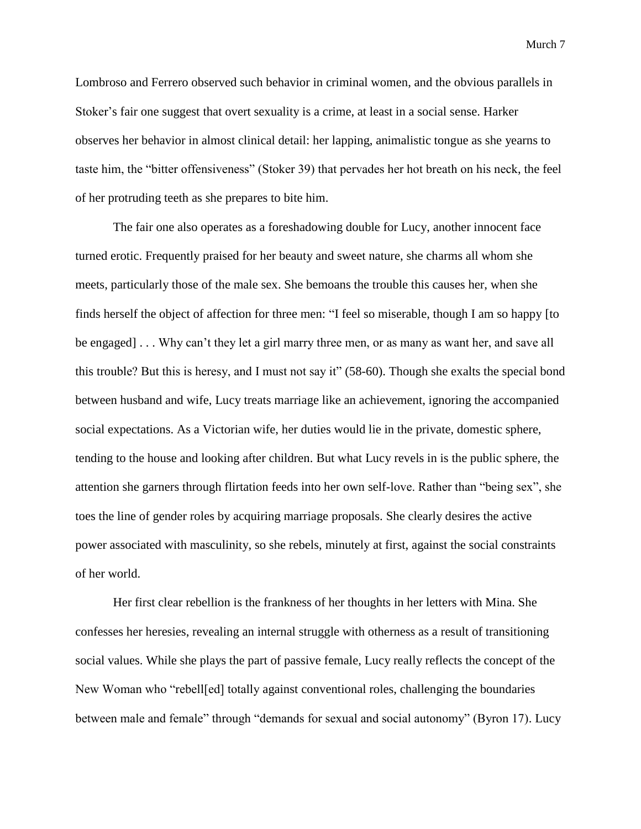Lombroso and Ferrero observed such behavior in criminal women, and the obvious parallels in Stoker's fair one suggest that overt sexuality is a crime, at least in a social sense. Harker observes her behavior in almost clinical detail: her lapping, animalistic tongue as she yearns to taste him, the "bitter offensiveness" (Stoker 39) that pervades her hot breath on his neck, the feel of her protruding teeth as she prepares to bite him.

The fair one also operates as a foreshadowing double for Lucy, another innocent face turned erotic. Frequently praised for her beauty and sweet nature, she charms all whom she meets, particularly those of the male sex. She bemoans the trouble this causes her, when she finds herself the object of affection for three men: "I feel so miserable, though I am so happy [to be engaged] . . . Why can't they let a girl marry three men, or as many as want her, and save all this trouble? But this is heresy, and I must not say it" (58-60). Though she exalts the special bond between husband and wife, Lucy treats marriage like an achievement, ignoring the accompanied social expectations. As a Victorian wife, her duties would lie in the private, domestic sphere, tending to the house and looking after children. But what Lucy revels in is the public sphere, the attention she garners through flirtation feeds into her own self-love. Rather than "being sex", she toes the line of gender roles by acquiring marriage proposals. She clearly desires the active power associated with masculinity, so she rebels, minutely at first, against the social constraints of her world.

Her first clear rebellion is the frankness of her thoughts in her letters with Mina. She confesses her heresies, revealing an internal struggle with otherness as a result of transitioning social values. While she plays the part of passive female, Lucy really reflects the concept of the New Woman who "rebell[ed] totally against conventional roles, challenging the boundaries between male and female" through "demands for sexual and social autonomy" (Byron 17). Lucy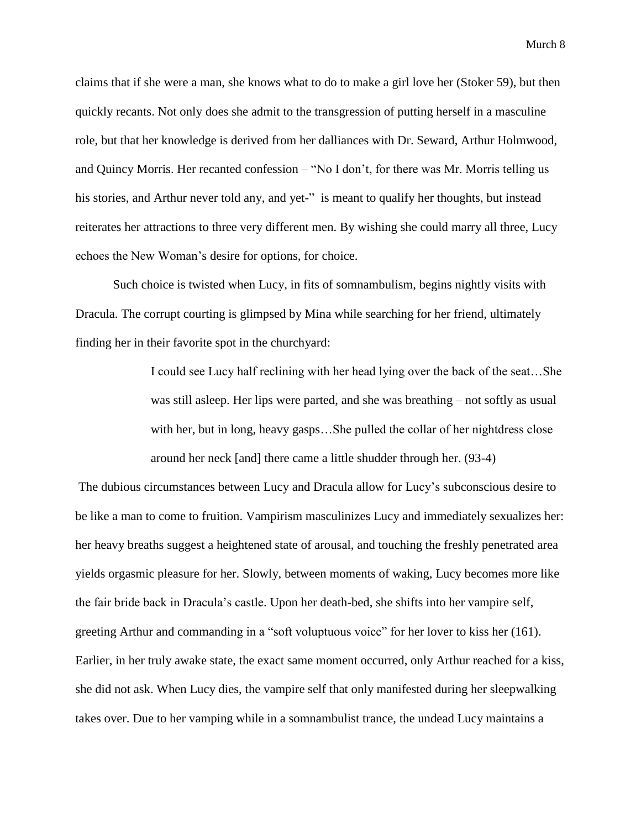claims that if she were a man, she knows what to do to make a girl love her (Stoker 59), but then quickly recants. Not only does she admit to the transgression of putting herself in a masculine role, but that her knowledge is derived from her dalliances with Dr. Seward, Arthur Holmwood, and Quincy Morris. Her recanted confession – "No I don't, for there was Mr. Morris telling us his stories, and Arthur never told any, and yet-" is meant to qualify her thoughts, but instead reiterates her attractions to three very different men. By wishing she could marry all three, Lucy echoes the New Woman's desire for options, for choice.

Such choice is twisted when Lucy, in fits of somnambulism, begins nightly visits with Dracula. The corrupt courting is glimpsed by Mina while searching for her friend, ultimately finding her in their favorite spot in the churchyard:

> I could see Lucy half reclining with her head lying over the back of the seat…She was still asleep. Her lips were parted, and she was breathing – not softly as usual with her, but in long, heavy gasps...She pulled the collar of her nightdress close around her neck [and] there came a little shudder through her. (93-4)

The dubious circumstances between Lucy and Dracula allow for Lucy's subconscious desire to be like a man to come to fruition. Vampirism masculinizes Lucy and immediately sexualizes her: her heavy breaths suggest a heightened state of arousal, and touching the freshly penetrated area yields orgasmic pleasure for her. Slowly, between moments of waking, Lucy becomes more like the fair bride back in Dracula's castle. Upon her death-bed, she shifts into her vampire self, greeting Arthur and commanding in a "soft voluptuous voice" for her lover to kiss her (161). Earlier, in her truly awake state, the exact same moment occurred, only Arthur reached for a kiss, she did not ask. When Lucy dies, the vampire self that only manifested during her sleepwalking takes over. Due to her vamping while in a somnambulist trance, the undead Lucy maintains a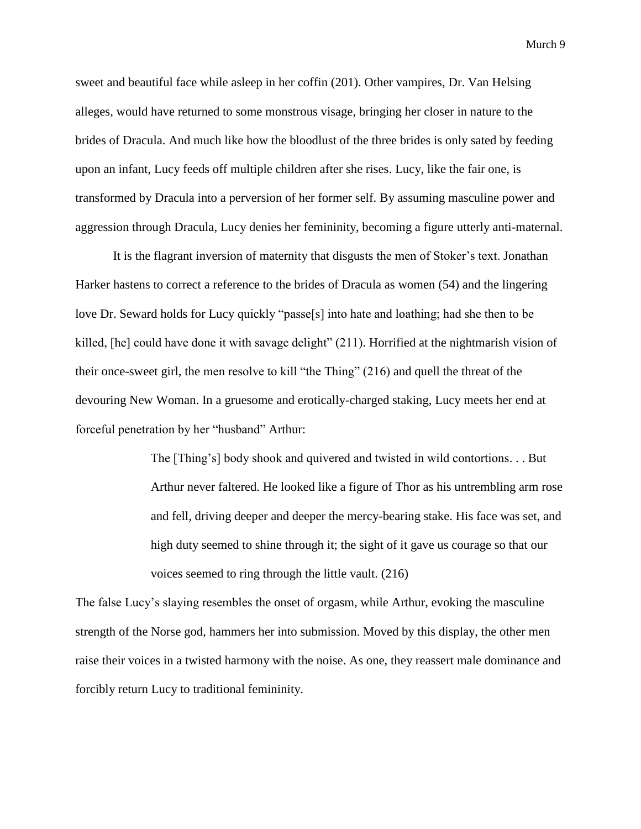sweet and beautiful face while asleep in her coffin (201). Other vampires, Dr. Van Helsing alleges, would have returned to some monstrous visage, bringing her closer in nature to the brides of Dracula. And much like how the bloodlust of the three brides is only sated by feeding upon an infant, Lucy feeds off multiple children after she rises. Lucy, like the fair one, is transformed by Dracula into a perversion of her former self. By assuming masculine power and aggression through Dracula, Lucy denies her femininity, becoming a figure utterly anti-maternal.

It is the flagrant inversion of maternity that disgusts the men of Stoker's text. Jonathan Harker hastens to correct a reference to the brides of Dracula as women (54) and the lingering love Dr. Seward holds for Lucy quickly "passe[s] into hate and loathing; had she then to be killed, [he] could have done it with savage delight" (211). Horrified at the nightmarish vision of their once-sweet girl, the men resolve to kill "the Thing" (216) and quell the threat of the devouring New Woman. In a gruesome and erotically-charged staking, Lucy meets her end at forceful penetration by her "husband" Arthur:

> The [Thing's] body shook and quivered and twisted in wild contortions. . . But Arthur never faltered. He looked like a figure of Thor as his untrembling arm rose and fell, driving deeper and deeper the mercy-bearing stake. His face was set, and high duty seemed to shine through it; the sight of it gave us courage so that our voices seemed to ring through the little vault. (216)

The false Lucy's slaying resembles the onset of orgasm, while Arthur, evoking the masculine strength of the Norse god, hammers her into submission. Moved by this display, the other men raise their voices in a twisted harmony with the noise. As one, they reassert male dominance and forcibly return Lucy to traditional femininity.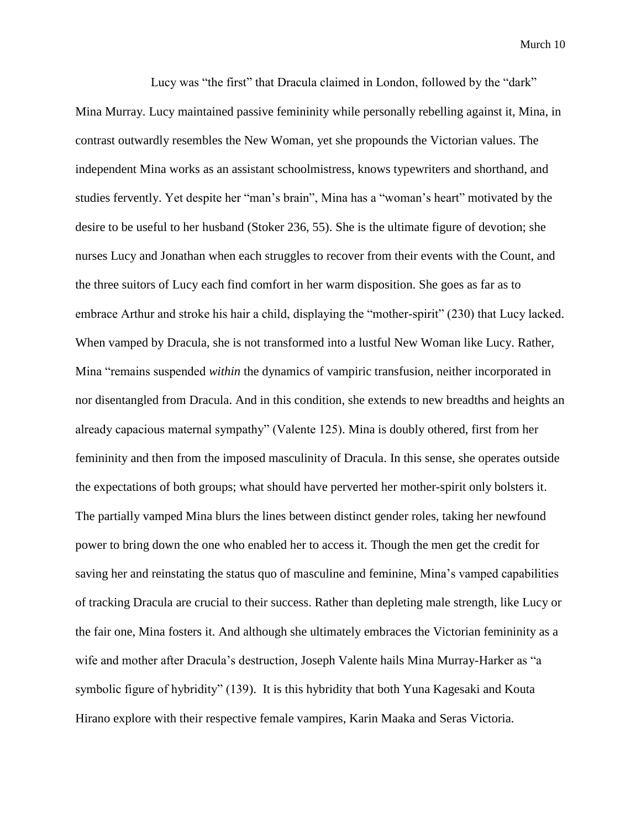Lucy was "the first" that Dracula claimed in London, followed by the "dark" Mina Murray. Lucy maintained passive femininity while personally rebelling against it, Mina, in contrast outwardly resembles the New Woman, yet she propounds the Victorian values. The independent Mina works as an assistant schoolmistress, knows typewriters and shorthand, and studies fervently. Yet despite her "man's brain", Mina has a "woman's heart" motivated by the desire to be useful to her husband (Stoker 236, 55). She is the ultimate figure of devotion; she nurses Lucy and Jonathan when each struggles to recover from their events with the Count, and the three suitors of Lucy each find comfort in her warm disposition. She goes as far as to embrace Arthur and stroke his hair a child, displaying the "mother-spirit" (230) that Lucy lacked. When vamped by Dracula, she is not transformed into a lustful New Woman like Lucy. Rather, Mina "remains suspended *within* the dynamics of vampiric transfusion, neither incorporated in nor disentangled from Dracula. And in this condition, she extends to new breadths and heights an already capacious maternal sympathy" (Valente 125). Mina is doubly othered, first from her femininity and then from the imposed masculinity of Dracula. In this sense, she operates outside the expectations of both groups; what should have perverted her mother-spirit only bolsters it. The partially vamped Mina blurs the lines between distinct gender roles, taking her newfound power to bring down the one who enabled her to access it. Though the men get the credit for saving her and reinstating the status quo of masculine and feminine, Mina's vamped capabilities of tracking Dracula are crucial to their success. Rather than depleting male strength, like Lucy or the fair one, Mina fosters it. And although she ultimately embraces the Victorian femininity as a wife and mother after Dracula's destruction, Joseph Valente hails Mina Murray-Harker as "a symbolic figure of hybridity" (139). It is this hybridity that both Yuna Kagesaki and Kouta Hirano explore with their respective female vampires, Karin Maaka and Seras Victoria.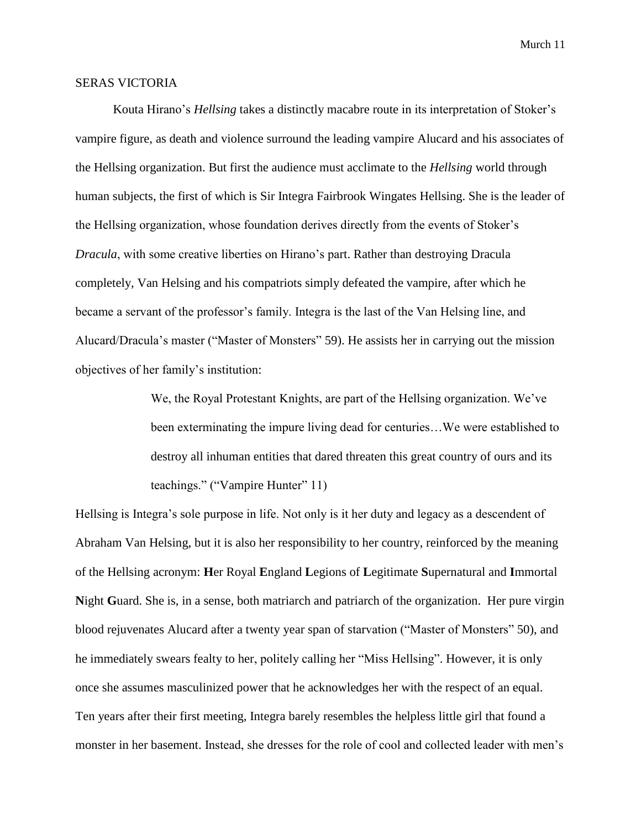## SERAS VICTORIA

Kouta Hirano's *Hellsing* takes a distinctly macabre route in its interpretation of Stoker's vampire figure, as death and violence surround the leading vampire Alucard and his associates of the Hellsing organization. But first the audience must acclimate to the *Hellsing* world through human subjects, the first of which is Sir Integra Fairbrook Wingates Hellsing. She is the leader of the Hellsing organization, whose foundation derives directly from the events of Stoker's *Dracula*, with some creative liberties on Hirano's part. Rather than destroying Dracula completely, Van Helsing and his compatriots simply defeated the vampire, after which he became a servant of the professor's family. Integra is the last of the Van Helsing line, and Alucard/Dracula's master ("Master of Monsters" 59). He assists her in carrying out the mission objectives of her family's institution:

> We, the Royal Protestant Knights, are part of the Hellsing organization. We've been exterminating the impure living dead for centuries…We were established to destroy all inhuman entities that dared threaten this great country of ours and its teachings." ("Vampire Hunter" 11)

Hellsing is Integra's sole purpose in life. Not only is it her duty and legacy as a descendent of Abraham Van Helsing, but it is also her responsibility to her country, reinforced by the meaning of the Hellsing acronym: **H**er Royal **E**ngland **L**egions of **L**egitimate **S**upernatural and **I**mmortal **N**ight **G**uard. She is, in a sense, both matriarch and patriarch of the organization. Her pure virgin blood rejuvenates Alucard after a twenty year span of starvation ("Master of Monsters" 50), and he immediately swears fealty to her, politely calling her "Miss Hellsing". However, it is only once she assumes masculinized power that he acknowledges her with the respect of an equal. Ten years after their first meeting, Integra barely resembles the helpless little girl that found a monster in her basement. Instead, she dresses for the role of cool and collected leader with men's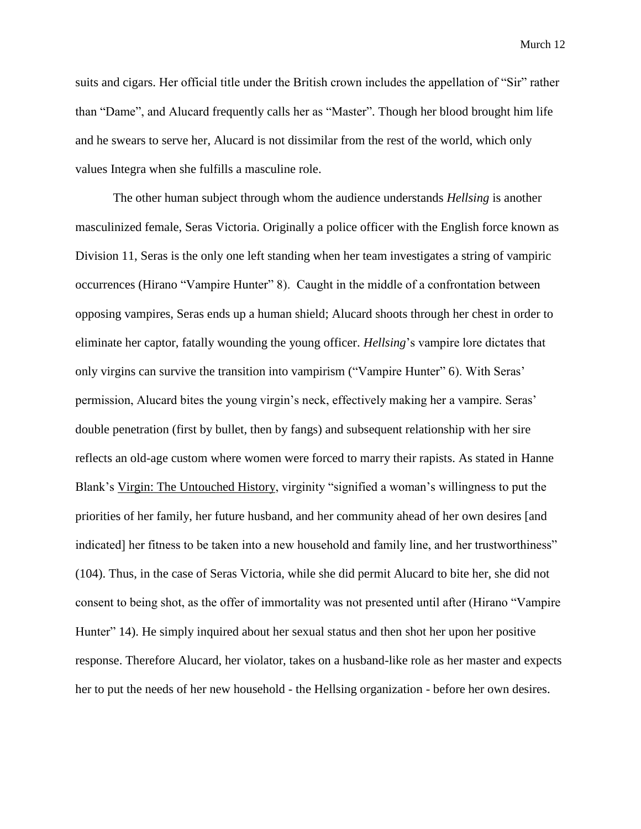suits and cigars. Her official title under the British crown includes the appellation of "Sir" rather than "Dame", and Alucard frequently calls her as "Master". Though her blood brought him life and he swears to serve her, Alucard is not dissimilar from the rest of the world, which only values Integra when she fulfills a masculine role.

The other human subject through whom the audience understands *Hellsing* is another masculinized female, Seras Victoria. Originally a police officer with the English force known as Division 11, Seras is the only one left standing when her team investigates a string of vampiric occurrences (Hirano "Vampire Hunter" 8). Caught in the middle of a confrontation between opposing vampires, Seras ends up a human shield; Alucard shoots through her chest in order to eliminate her captor, fatally wounding the young officer. *Hellsing*'s vampire lore dictates that only virgins can survive the transition into vampirism ("Vampire Hunter" 6). With Seras' permission, Alucard bites the young virgin's neck, effectively making her a vampire. Seras' double penetration (first by bullet, then by fangs) and subsequent relationship with her sire reflects an old-age custom where women were forced to marry their rapists. As stated in Hanne Blank's Virgin: The Untouched History, virginity "signified a woman's willingness to put the priorities of her family, her future husband, and her community ahead of her own desires [and indicated] her fitness to be taken into a new household and family line, and her trustworthiness" (104). Thus, in the case of Seras Victoria, while she did permit Alucard to bite her, she did not consent to being shot, as the offer of immortality was not presented until after (Hirano "Vampire Hunter" 14). He simply inquired about her sexual status and then shot her upon her positive response. Therefore Alucard, her violator, takes on a husband-like role as her master and expects her to put the needs of her new household - the Hellsing organization - before her own desires.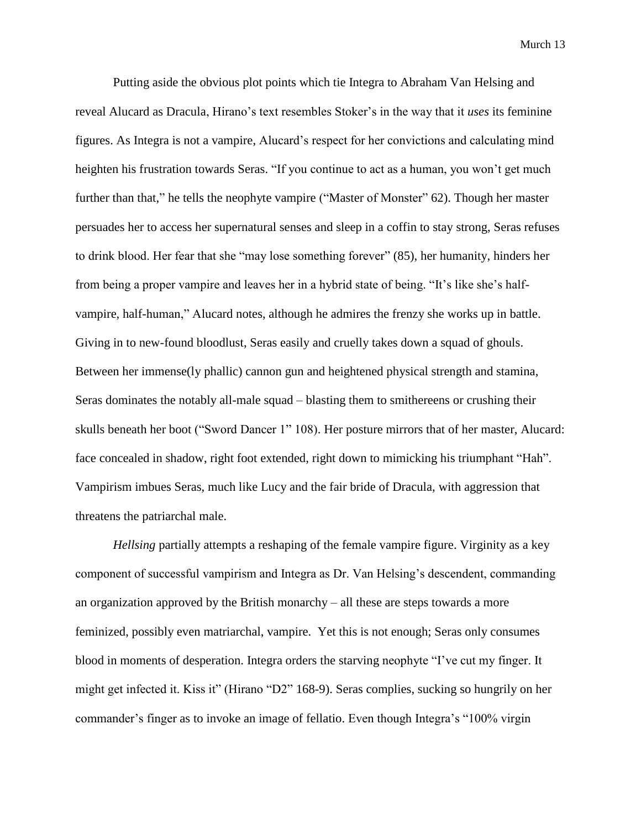Putting aside the obvious plot points which tie Integra to Abraham Van Helsing and reveal Alucard as Dracula, Hirano's text resembles Stoker's in the way that it *uses* its feminine figures. As Integra is not a vampire, Alucard's respect for her convictions and calculating mind heighten his frustration towards Seras. "If you continue to act as a human, you won't get much further than that," he tells the neophyte vampire ("Master of Monster" 62). Though her master persuades her to access her supernatural senses and sleep in a coffin to stay strong, Seras refuses to drink blood. Her fear that she "may lose something forever" (85), her humanity, hinders her from being a proper vampire and leaves her in a hybrid state of being. "It's like she's halfvampire, half-human," Alucard notes, although he admires the frenzy she works up in battle. Giving in to new-found bloodlust, Seras easily and cruelly takes down a squad of ghouls. Between her immense(ly phallic) cannon gun and heightened physical strength and stamina, Seras dominates the notably all-male squad – blasting them to smithereens or crushing their skulls beneath her boot ("Sword Dancer 1" 108). Her posture mirrors that of her master, Alucard: face concealed in shadow, right foot extended, right down to mimicking his triumphant "Hah". Vampirism imbues Seras, much like Lucy and the fair bride of Dracula, with aggression that threatens the patriarchal male.

*Hellsing* partially attempts a reshaping of the female vampire figure. Virginity as a key component of successful vampirism and Integra as Dr. Van Helsing's descendent, commanding an organization approved by the British monarchy – all these are steps towards a more feminized, possibly even matriarchal, vampire. Yet this is not enough; Seras only consumes blood in moments of desperation. Integra orders the starving neophyte "I've cut my finger. It might get infected it. Kiss it" (Hirano "D2" 168-9). Seras complies, sucking so hungrily on her commander's finger as to invoke an image of fellatio. Even though Integra's "100% virgin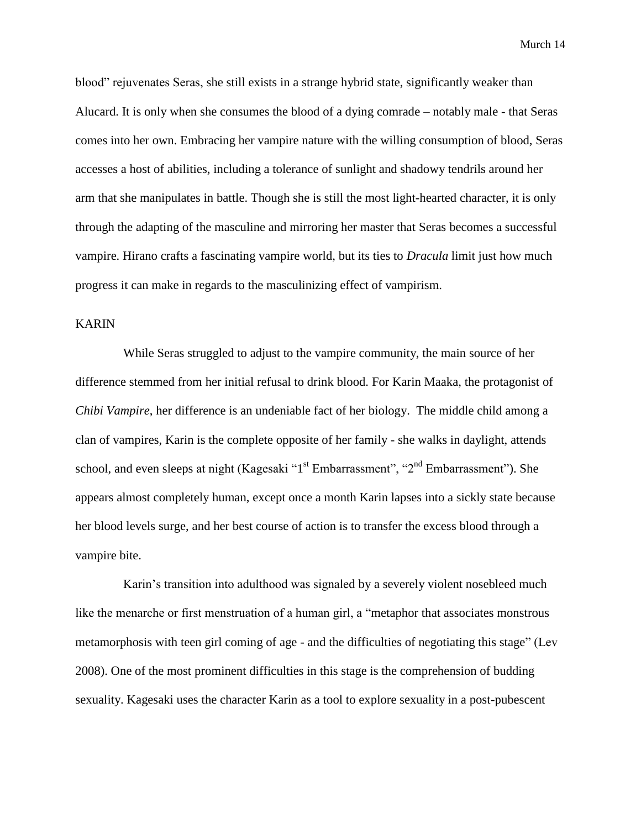blood" rejuvenates Seras, she still exists in a strange hybrid state, significantly weaker than Alucard. It is only when she consumes the blood of a dying comrade – notably male - that Seras comes into her own. Embracing her vampire nature with the willing consumption of blood, Seras accesses a host of abilities, including a tolerance of sunlight and shadowy tendrils around her arm that she manipulates in battle. Though she is still the most light-hearted character, it is only through the adapting of the masculine and mirroring her master that Seras becomes a successful vampire. Hirano crafts a fascinating vampire world, but its ties to *Dracula* limit just how much progress it can make in regards to the masculinizing effect of vampirism.

## KARIN

While Seras struggled to adjust to the vampire community, the main source of her difference stemmed from her initial refusal to drink blood. For Karin Maaka, the protagonist of *Chibi Vampire*, her difference is an undeniable fact of her biology. The middle child among a clan of vampires, Karin is the complete opposite of her family - she walks in daylight, attends school, and even sleeps at night (Kagesaki "1<sup>st</sup> Embarrassment", "2<sup>nd</sup> Embarrassment"). She appears almost completely human, except once a month Karin lapses into a sickly state because her blood levels surge, and her best course of action is to transfer the excess blood through a vampire bite.

Karin's transition into adulthood was signaled by a severely violent nosebleed much like the menarche or first menstruation of a human girl, a "metaphor that associates monstrous metamorphosis with teen girl coming of age - and the difficulties of negotiating this stage" (Lev 2008). One of the most prominent difficulties in this stage is the comprehension of budding sexuality. Kagesaki uses the character Karin as a tool to explore sexuality in a post-pubescent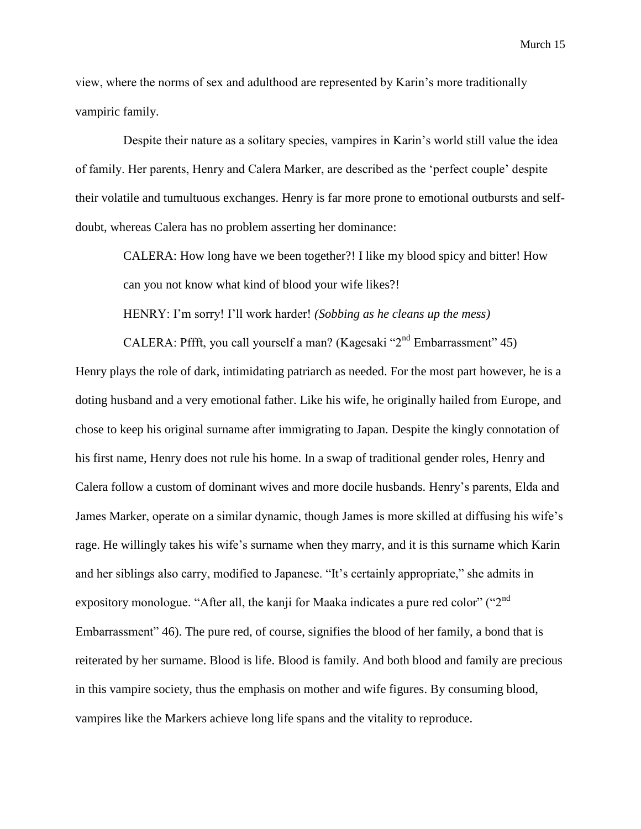view, where the norms of sex and adulthood are represented by Karin's more traditionally vampiric family.

Despite their nature as a solitary species, vampires in Karin's world still value the idea of family. Her parents, Henry and Calera Marker, are described as the 'perfect couple' despite their volatile and tumultuous exchanges. Henry is far more prone to emotional outbursts and selfdoubt, whereas Calera has no problem asserting her dominance:

CALERA: How long have we been together?! I like my blood spicy and bitter! How can you not know what kind of blood your wife likes?!

HENRY: I'm sorry! I'll work harder! *(Sobbing as he cleans up the mess)*

CALERA: Pffft, you call yourself a man? (Kagesaki "2<sup>nd</sup> Embarrassment" 45) Henry plays the role of dark, intimidating patriarch as needed. For the most part however, he is a doting husband and a very emotional father. Like his wife, he originally hailed from Europe, and chose to keep his original surname after immigrating to Japan. Despite the kingly connotation of his first name, Henry does not rule his home. In a swap of traditional gender roles, Henry and Calera follow a custom of dominant wives and more docile husbands. Henry's parents, Elda and James Marker, operate on a similar dynamic, though James is more skilled at diffusing his wife's rage. He willingly takes his wife's surname when they marry, and it is this surname which Karin and her siblings also carry, modified to Japanese. "It's certainly appropriate," she admits in expository monologue. "After all, the kanji for Maaka indicates a pure red color" (" $2<sup>nd</sup>$ Embarrassment" 46). The pure red, of course, signifies the blood of her family, a bond that is reiterated by her surname. Blood is life. Blood is family. And both blood and family are precious in this vampire society, thus the emphasis on mother and wife figures. By consuming blood, vampires like the Markers achieve long life spans and the vitality to reproduce.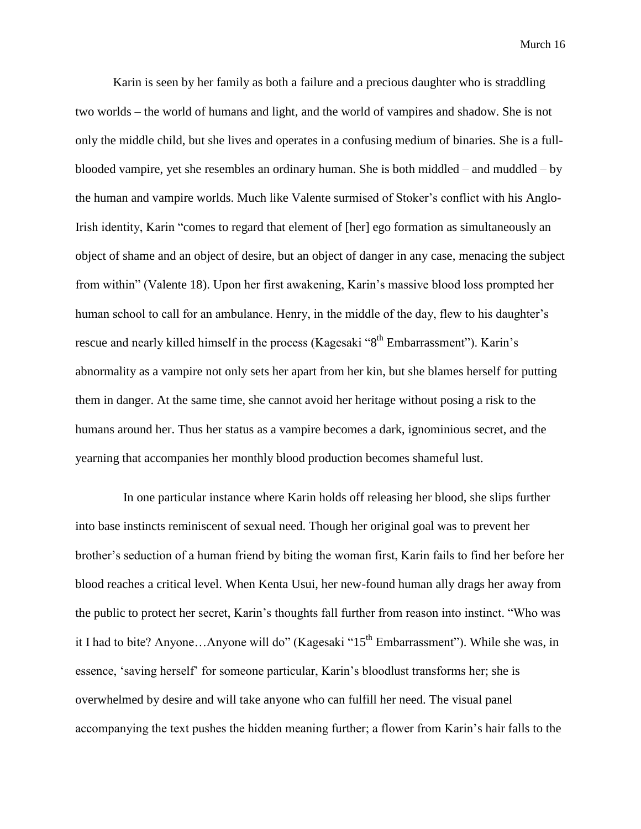Karin is seen by her family as both a failure and a precious daughter who is straddling two worlds – the world of humans and light, and the world of vampires and shadow. She is not only the middle child, but she lives and operates in a confusing medium of binaries. She is a fullblooded vampire, yet she resembles an ordinary human. She is both middled – and muddled – by the human and vampire worlds. Much like Valente surmised of Stoker's conflict with his Anglo-Irish identity, Karin "comes to regard that element of [her] ego formation as simultaneously an object of shame and an object of desire, but an object of danger in any case, menacing the subject from within" (Valente 18). Upon her first awakening, Karin's massive blood loss prompted her human school to call for an ambulance. Henry, in the middle of the day, flew to his daughter's rescue and nearly killed himself in the process (Kagesaki "8<sup>th</sup> Embarrassment"). Karin's abnormality as a vampire not only sets her apart from her kin, but she blames herself for putting them in danger. At the same time, she cannot avoid her heritage without posing a risk to the humans around her. Thus her status as a vampire becomes a dark, ignominious secret, and the yearning that accompanies her monthly blood production becomes shameful lust.

In one particular instance where Karin holds off releasing her blood, she slips further into base instincts reminiscent of sexual need. Though her original goal was to prevent her brother's seduction of a human friend by biting the woman first, Karin fails to find her before her blood reaches a critical level. When Kenta Usui, her new-found human ally drags her away from the public to protect her secret, Karin's thoughts fall further from reason into instinct. "Who was it I had to bite? Anyone...Anyone will do" (Kagesaki "15<sup>th</sup> Embarrassment"). While she was, in essence, 'saving herself' for someone particular, Karin's bloodlust transforms her; she is overwhelmed by desire and will take anyone who can fulfill her need. The visual panel accompanying the text pushes the hidden meaning further; a flower from Karin's hair falls to the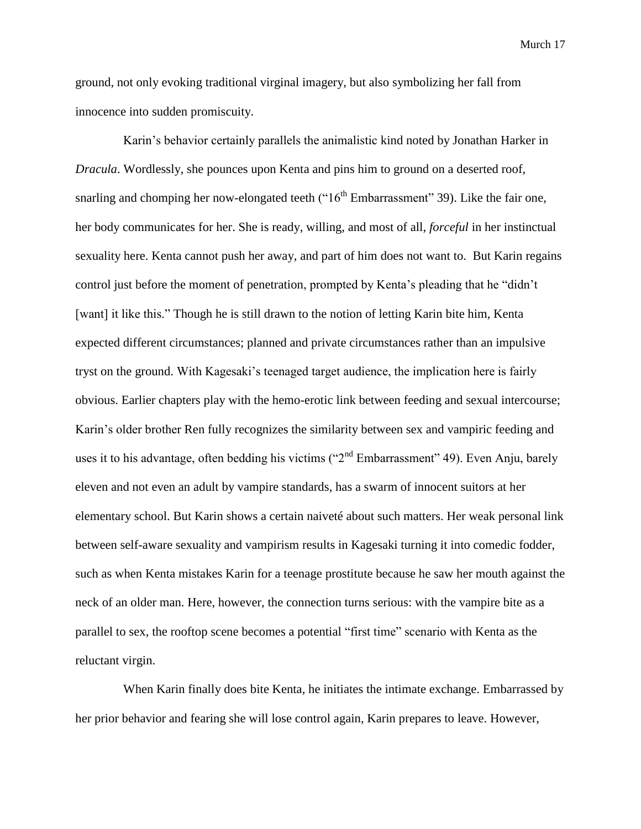ground, not only evoking traditional virginal imagery, but also symbolizing her fall from innocence into sudden promiscuity.

Karin's behavior certainly parallels the animalistic kind noted by Jonathan Harker in *Dracula*. Wordlessly, she pounces upon Kenta and pins him to ground on a deserted roof, snarling and chomping her now-elongated teeth (" $16<sup>th</sup>$  Embarrassment" 39). Like the fair one, her body communicates for her. She is ready, willing, and most of all, *forceful* in her instinctual sexuality here. Kenta cannot push her away, and part of him does not want to. But Karin regains control just before the moment of penetration, prompted by Kenta's pleading that he "didn't [want] it like this." Though he is still drawn to the notion of letting Karin bite him, Kenta expected different circumstances; planned and private circumstances rather than an impulsive tryst on the ground. With Kagesaki's teenaged target audience, the implication here is fairly obvious. Earlier chapters play with the hemo-erotic link between feeding and sexual intercourse; Karin's older brother Ren fully recognizes the similarity between sex and vampiric feeding and uses it to his advantage, often bedding his victims ("2<sup>nd</sup> Embarrassment" 49). Even Anju, barely eleven and not even an adult by vampire standards, has a swarm of innocent suitors at her elementary school. But Karin shows a certain naiveté about such matters. Her weak personal link between self-aware sexuality and vampirism results in Kagesaki turning it into comedic fodder, such as when Kenta mistakes Karin for a teenage prostitute because he saw her mouth against the neck of an older man. Here, however, the connection turns serious: with the vampire bite as a parallel to sex, the rooftop scene becomes a potential "first time" scenario with Kenta as the reluctant virgin.

When Karin finally does bite Kenta, he initiates the intimate exchange. Embarrassed by her prior behavior and fearing she will lose control again, Karin prepares to leave. However,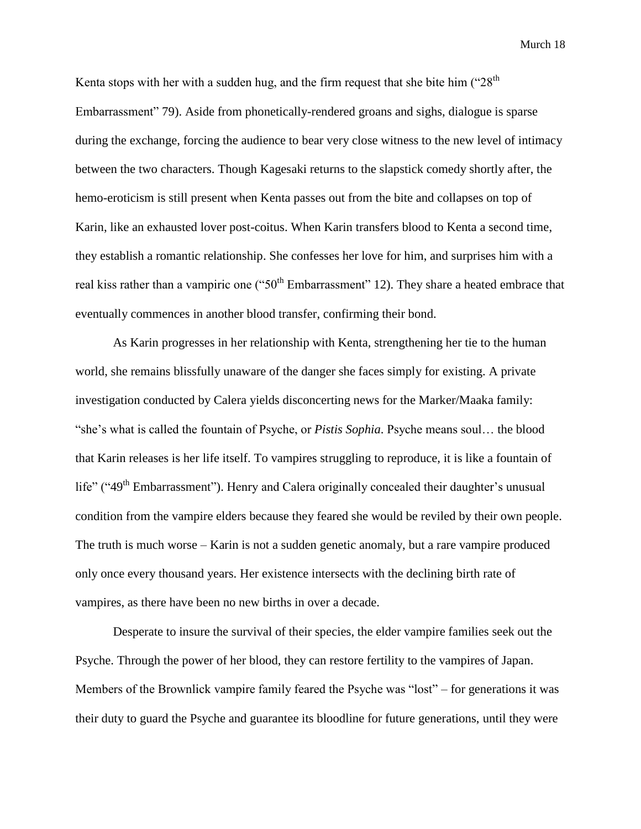Kenta stops with her with a sudden hug, and the firm request that she bite him  $("28<sup>th</sup>]$ Embarrassment" 79). Aside from phonetically-rendered groans and sighs, dialogue is sparse during the exchange, forcing the audience to bear very close witness to the new level of intimacy between the two characters. Though Kagesaki returns to the slapstick comedy shortly after, the hemo-eroticism is still present when Kenta passes out from the bite and collapses on top of Karin, like an exhausted lover post-coitus. When Karin transfers blood to Kenta a second time, they establish a romantic relationship. She confesses her love for him, and surprises him with a real kiss rather than a vampiric one (" $50<sup>th</sup>$  Embarrassment" 12). They share a heated embrace that eventually commences in another blood transfer, confirming their bond.

As Karin progresses in her relationship with Kenta, strengthening her tie to the human world, she remains blissfully unaware of the danger she faces simply for existing. A private investigation conducted by Calera yields disconcerting news for the Marker/Maaka family: "she's what is called the fountain of Psyche, or *Pistis Sophia*. Psyche means soul… the blood that Karin releases is her life itself. To vampires struggling to reproduce, it is like a fountain of life" ("49<sup>th</sup> Embarrassment"). Henry and Calera originally concealed their daughter's unusual condition from the vampire elders because they feared she would be reviled by their own people. The truth is much worse – Karin is not a sudden genetic anomaly, but a rare vampire produced only once every thousand years. Her existence intersects with the declining birth rate of vampires, as there have been no new births in over a decade.

Desperate to insure the survival of their species, the elder vampire families seek out the Psyche. Through the power of her blood, they can restore fertility to the vampires of Japan. Members of the Brownlick vampire family feared the Psyche was "lost" – for generations it was their duty to guard the Psyche and guarantee its bloodline for future generations, until they were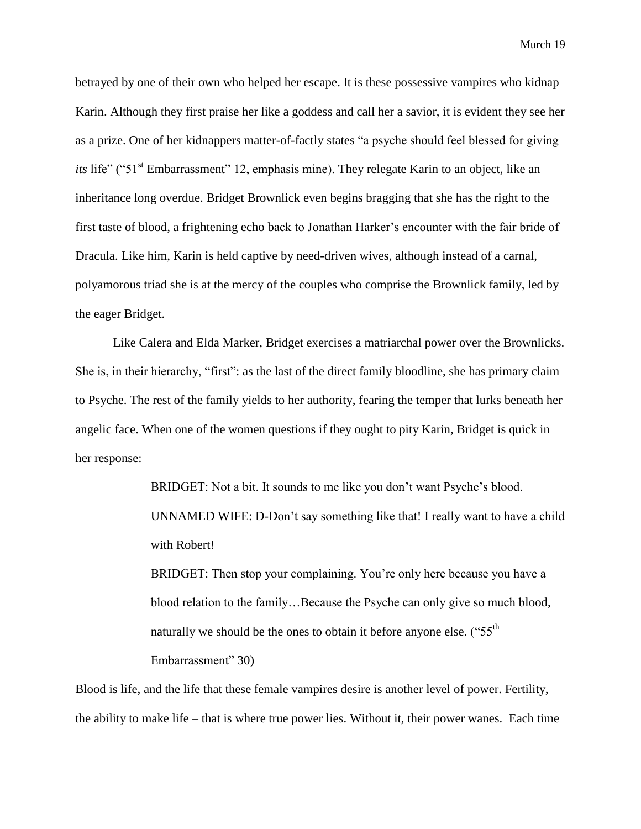betrayed by one of their own who helped her escape. It is these possessive vampires who kidnap Karin. Although they first praise her like a goddess and call her a savior, it is evident they see her as a prize. One of her kidnappers matter-of-factly states "a psyche should feel blessed for giving *its* life" ("51<sup>st</sup> Embarrassment" 12, emphasis mine). They relegate Karin to an object, like an inheritance long overdue. Bridget Brownlick even begins bragging that she has the right to the first taste of blood, a frightening echo back to Jonathan Harker's encounter with the fair bride of Dracula. Like him, Karin is held captive by need-driven wives, although instead of a carnal, polyamorous triad she is at the mercy of the couples who comprise the Brownlick family, led by the eager Bridget.

Like Calera and Elda Marker, Bridget exercises a matriarchal power over the Brownlicks. She is, in their hierarchy, "first": as the last of the direct family bloodline, she has primary claim to Psyche. The rest of the family yields to her authority, fearing the temper that lurks beneath her angelic face. When one of the women questions if they ought to pity Karin, Bridget is quick in her response:

> BRIDGET: Not a bit. It sounds to me like you don't want Psyche's blood. UNNAMED WIFE: D-Don't say something like that! I really want to have a child with Robert! BRIDGET: Then stop your complaining. You're only here because you have a

blood relation to the family…Because the Psyche can only give so much blood, naturally we should be the ones to obtain it before anyone else.  $("55<sup>th</sup>]$ Embarrassment" 30)

Blood is life, and the life that these female vampires desire is another level of power. Fertility, the ability to make life – that is where true power lies. Without it, their power wanes. Each time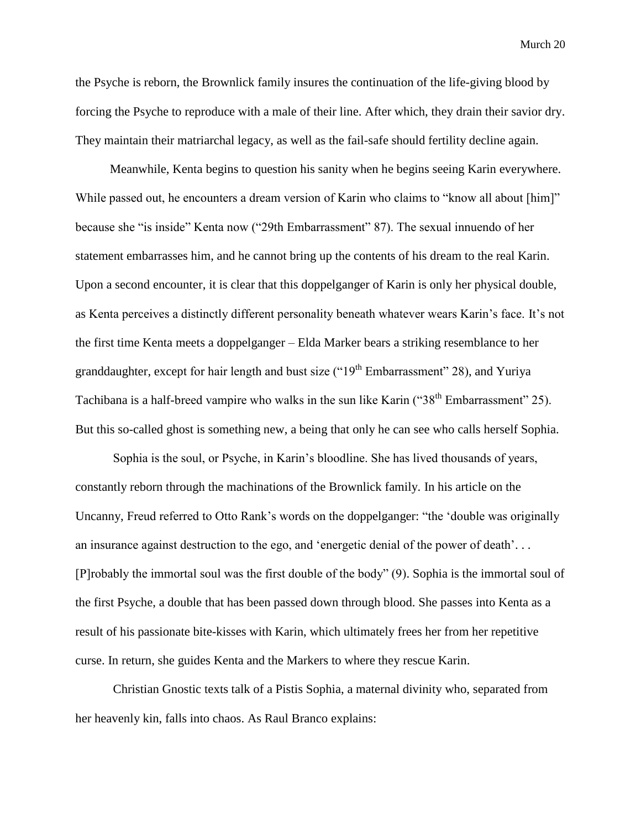the Psyche is reborn, the Brownlick family insures the continuation of the life-giving blood by forcing the Psyche to reproduce with a male of their line. After which, they drain their savior dry. They maintain their matriarchal legacy, as well as the fail-safe should fertility decline again.

 Meanwhile, Kenta begins to question his sanity when he begins seeing Karin everywhere. While passed out, he encounters a dream version of Karin who claims to "know all about [him]" because she "is inside" Kenta now ("29th Embarrassment" 87). The sexual innuendo of her statement embarrasses him, and he cannot bring up the contents of his dream to the real Karin. Upon a second encounter, it is clear that this doppelganger of Karin is only her physical double, as Kenta perceives a distinctly different personality beneath whatever wears Karin's face. It's not the first time Kenta meets a doppelganger – Elda Marker bears a striking resemblance to her granddaughter, except for hair length and bust size (" $19<sup>th</sup>$  Embarrassment" 28), and Yuriya Tachibana is a half-breed vampire who walks in the sun like Karin ("38<sup>th</sup> Embarrassment" 25). But this so-called ghost is something new, a being that only he can see who calls herself Sophia.

Sophia is the soul, or Psyche, in Karin's bloodline. She has lived thousands of years, constantly reborn through the machinations of the Brownlick family. In his article on the Uncanny, Freud referred to Otto Rank's words on the doppelganger: "the 'double was originally an insurance against destruction to the ego, and 'energetic denial of the power of death'. . . [P]robably the immortal soul was the first double of the body" (9). Sophia is the immortal soul of the first Psyche, a double that has been passed down through blood. She passes into Kenta as a result of his passionate bite-kisses with Karin, which ultimately frees her from her repetitive curse. In return, she guides Kenta and the Markers to where they rescue Karin.

Christian Gnostic texts talk of a Pistis Sophia, a maternal divinity who, separated from her heavenly kin, falls into chaos. As Raul Branco explains: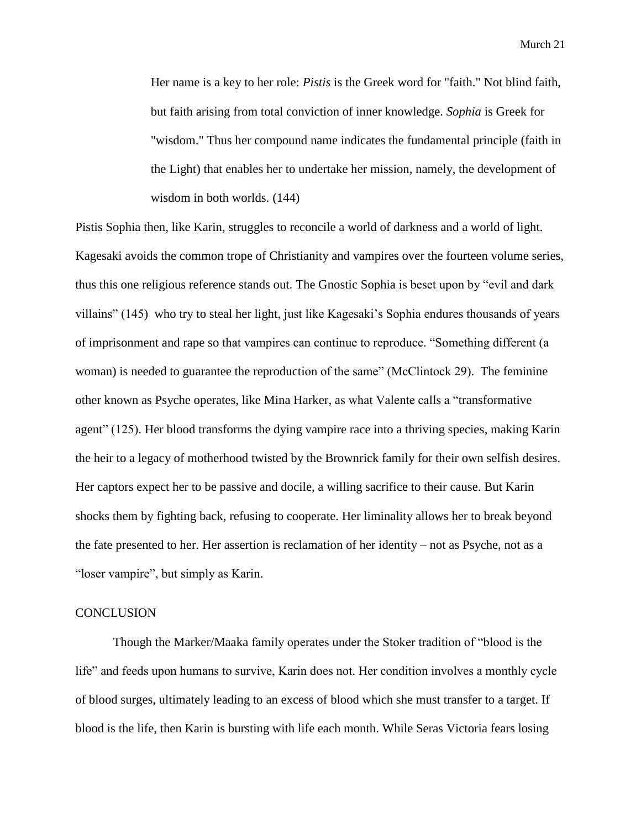Her name is a key to her role: *Pistis* is the Greek word for "faith." Not blind faith, but faith arising from total conviction of inner knowledge. *Sophia* is Greek for "wisdom." Thus her compound name indicates the fundamental principle (faith in the Light) that enables her to undertake her mission, namely, the development of wisdom in both worlds. (144)

Pistis Sophia then, like Karin, struggles to reconcile a world of darkness and a world of light. Kagesaki avoids the common trope of Christianity and vampires over the fourteen volume series, thus this one religious reference stands out. The Gnostic Sophia is beset upon by "evil and dark villains" (145) who try to steal her light, just like Kagesaki's Sophia endures thousands of years of imprisonment and rape so that vampires can continue to reproduce. "Something different (a woman) is needed to guarantee the reproduction of the same" (McClintock 29). The feminine other known as Psyche operates, like Mina Harker, as what Valente calls a "transformative agent" (125). Her blood transforms the dying vampire race into a thriving species, making Karin the heir to a legacy of motherhood twisted by the Brownrick family for their own selfish desires. Her captors expect her to be passive and docile, a willing sacrifice to their cause. But Karin shocks them by fighting back, refusing to cooperate. Her liminality allows her to break beyond the fate presented to her. Her assertion is reclamation of her identity – not as Psyche, not as a "loser vampire", but simply as Karin.

### **CONCLUSION**

Though the Marker/Maaka family operates under the Stoker tradition of "blood is the life" and feeds upon humans to survive, Karin does not. Her condition involves a monthly cycle of blood surges, ultimately leading to an excess of blood which she must transfer to a target. If blood is the life, then Karin is bursting with life each month. While Seras Victoria fears losing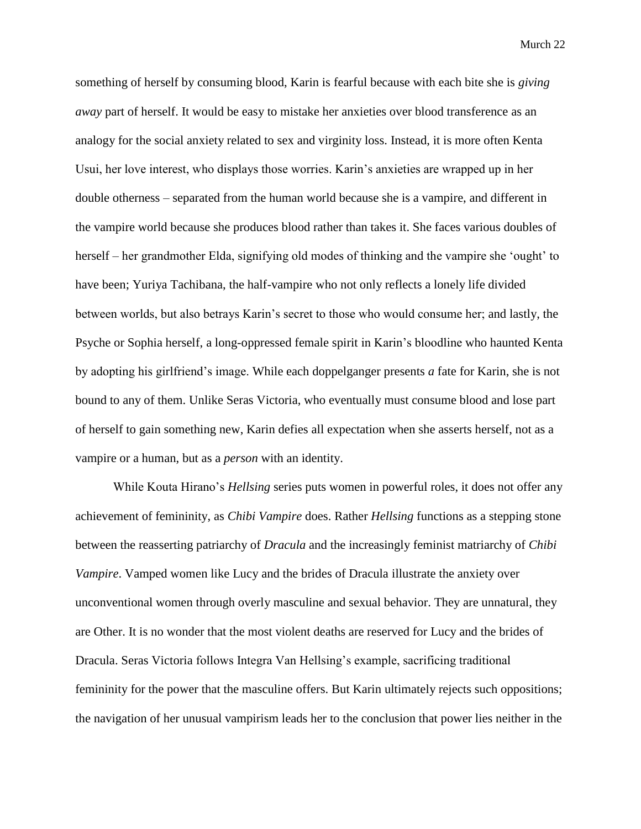something of herself by consuming blood, Karin is fearful because with each bite she is *giving away* part of herself. It would be easy to mistake her anxieties over blood transference as an analogy for the social anxiety related to sex and virginity loss. Instead, it is more often Kenta Usui, her love interest, who displays those worries. Karin's anxieties are wrapped up in her double otherness – separated from the human world because she is a vampire, and different in the vampire world because she produces blood rather than takes it. She faces various doubles of herself – her grandmother Elda, signifying old modes of thinking and the vampire she 'ought' to have been; Yuriya Tachibana, the half-vampire who not only reflects a lonely life divided between worlds, but also betrays Karin's secret to those who would consume her; and lastly, the Psyche or Sophia herself, a long-oppressed female spirit in Karin's bloodline who haunted Kenta by adopting his girlfriend's image. While each doppelganger presents *a* fate for Karin, she is not bound to any of them. Unlike Seras Victoria, who eventually must consume blood and lose part of herself to gain something new, Karin defies all expectation when she asserts herself, not as a vampire or a human, but as a *person* with an identity.

While Kouta Hirano's *Hellsing* series puts women in powerful roles, it does not offer any achievement of femininity, as *Chibi Vampire* does. Rather *Hellsing* functions as a stepping stone between the reasserting patriarchy of *Dracula* and the increasingly feminist matriarchy of *Chibi Vampire*. Vamped women like Lucy and the brides of Dracula illustrate the anxiety over unconventional women through overly masculine and sexual behavior. They are unnatural, they are Other. It is no wonder that the most violent deaths are reserved for Lucy and the brides of Dracula. Seras Victoria follows Integra Van Hellsing's example, sacrificing traditional femininity for the power that the masculine offers. But Karin ultimately rejects such oppositions; the navigation of her unusual vampirism leads her to the conclusion that power lies neither in the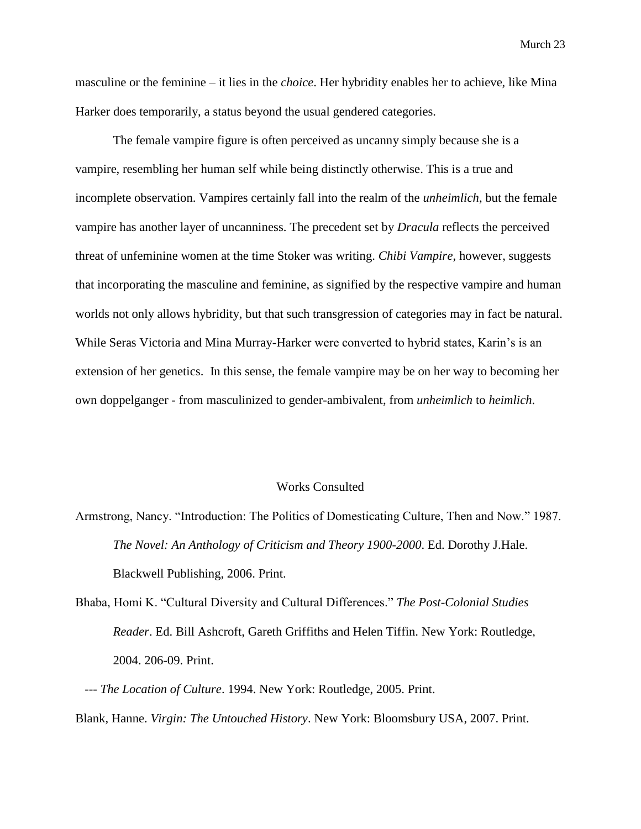masculine or the feminine – it lies in the *choice*. Her hybridity enables her to achieve, like Mina Harker does temporarily, a status beyond the usual gendered categories.

The female vampire figure is often perceived as uncanny simply because she is a vampire, resembling her human self while being distinctly otherwise. This is a true and incomplete observation. Vampires certainly fall into the realm of the *unheimlich*, but the female vampire has another layer of uncanniness. The precedent set by *Dracula* reflects the perceived threat of unfeminine women at the time Stoker was writing. *Chibi Vampire*, however, suggests that incorporating the masculine and feminine, as signified by the respective vampire and human worlds not only allows hybridity, but that such transgression of categories may in fact be natural. While Seras Victoria and Mina Murray-Harker were converted to hybrid states, Karin's is an extension of her genetics. In this sense, the female vampire may be on her way to becoming her own doppelganger - from masculinized to gender-ambivalent, from *unheimlich* to *heimlich*.

### Works Consulted

Armstrong, Nancy. "Introduction: The Politics of Domesticating Culture, Then and Now." 1987. *The Novel: An Anthology of Criticism and Theory 1900-2000*. Ed. Dorothy J.Hale. Blackwell Publishing, 2006. Print.

Bhaba, Homi K. "Cultural Diversity and Cultural Differences." *The Post-Colonial Studies Reader*. Ed. Bill Ashcroft, Gareth Griffiths and Helen Tiffin. New York: Routledge, 2004. 206-09. Print.

 --- *The Location of Culture*. 1994. New York: Routledge, 2005. Print. Blank, Hanne. *Virgin: The Untouched History*. New York: Bloomsbury USA, 2007. Print.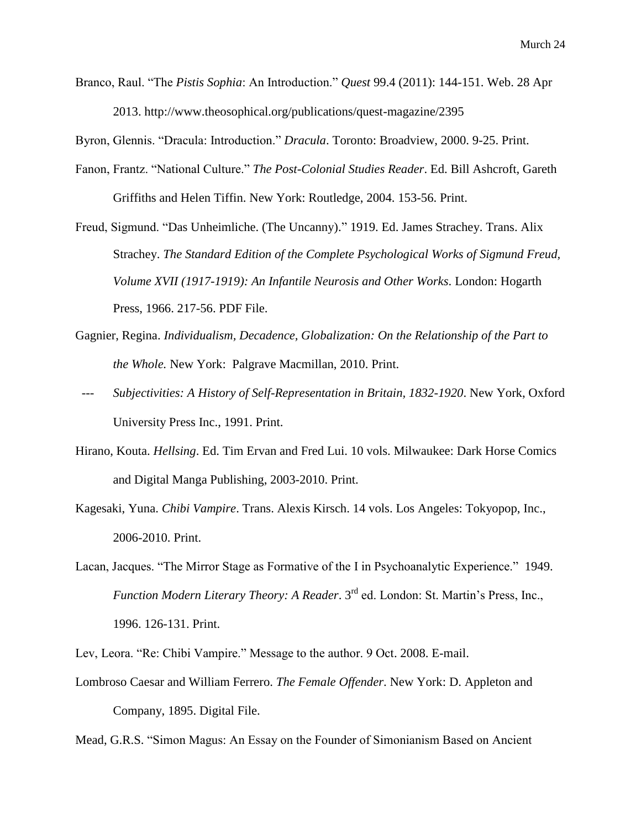Branco, Raul. "The *Pistis Sophia*: An Introduction." *Quest* 99.4 (2011): 144-151. Web. 28 Apr 2013. http://www.theosophical.org/publications/quest-magazine/2395

Byron, Glennis. "Dracula: Introduction." *Dracula*. Toronto: Broadview, 2000. 9-25. Print.

- Fanon, Frantz. "National Culture." *The Post-Colonial Studies Reader*. Ed. Bill Ashcroft, Gareth Griffiths and Helen Tiffin. New York: Routledge, 2004. 153-56. Print.
- Freud, Sigmund. "Das Unheimliche. (The Uncanny)." 1919. Ed. James Strachey. Trans. Alix Strachey. *The Standard Edition of the Complete Psychological Works of Sigmund Freud, Volume XVII (1917-1919): An Infantile Neurosis and Other Works*. London: Hogarth Press, 1966. 217-56. PDF File.
- Gagnier, Regina. *Individualism, Decadence, Globalization: On the Relationship of the Part to the Whole.* New York: Palgrave Macmillan, 2010. Print.
- --- *Subjectivities: A History of Self-Representation in Britain, 1832-1920*. New York, Oxford University Press Inc., 1991. Print.
- Hirano, Kouta. *Hellsing*. Ed. Tim Ervan and Fred Lui. 10 vols. Milwaukee: Dark Horse Comics and Digital Manga Publishing, 2003-2010. Print.
- Kagesaki, Yuna. *Chibi Vampire*. Trans. Alexis Kirsch. 14 vols. Los Angeles: Tokyopop, Inc., 2006-2010. Print.
- Lacan, Jacques. "The Mirror Stage as Formative of the I in Psychoanalytic Experience." 1949. *Function Modern Literary Theory: A Reader.* 3<sup>rd</sup> ed. London: St. Martin's Press, Inc., 1996. 126-131. Print.

Lev, Leora. "Re: Chibi Vampire." Message to the author. 9 Oct. 2008. E-mail.

Lombroso Caesar and William Ferrero. *The Female Offender*. New York: D. Appleton and Company, 1895. Digital File.

Mead, G.R.S. "Simon Magus: An Essay on the Founder of Simonianism Based on Ancient